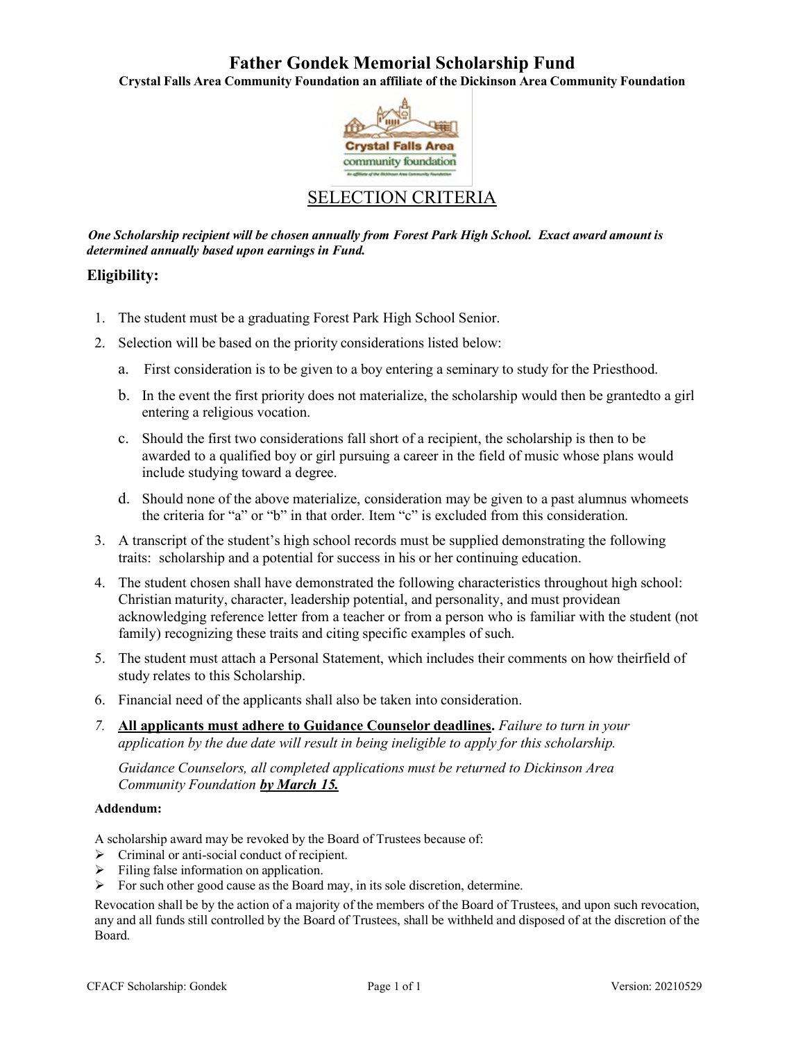# **Father Gondek Memorial Scholarship Fund**

**Crystal Falls Area Community Foundation an affiliate of the Dickinson Area Community Foundation**



# SELECTION CRITERIA

*One Scholarship recipient will be chosen annually from Forest Park High School. Exact award amount is determined annually based upon earnings in Fund.*

## **Eligibility:**

- 1. The student must be a graduating Forest Park High School Senior.
- 2. Selection will be based on the priority considerations listed below:
	- a. First consideration is to be given to a boy entering a seminary to study for the Priesthood.
	- b. In the event the first priority does not materialize, the scholarship would then be grantedto a girl entering a religious vocation.
	- c. Should the first two considerations fall short of a recipient, the scholarship is then to be awarded to a qualified boy or girl pursuing a career in the field of music whose plans would include studying toward a degree.
	- d. Should none of the above materialize, consideration may be given to a past alumnus whomeets the criteria for "a" or "b" in that order. Item "c" is excluded from this consideration.
- 3. A transcript of the student's high school records must be supplied demonstrating the following traits: scholarship and a potential for success in his or her continuing education.
- 4. The student chosen shall have demonstrated the following characteristics throughout high school: Christian maturity, character, leadership potential, and personality, and must providean acknowledging reference letter from a teacher or from a person who is familiar with the student (not family) recognizing these traits and citing specific examples of such.
- 5. The student must attach a Personal Statement, which includes their comments on how theirfield of study relates to this Scholarship.
- 6. Financial need of the applicants shall also be taken into consideration.
- *7.* **All applicants must adhere to Guidance Counselor deadlines.** *Failure to turn in your application by the due date will result in being ineligible to apply for this scholarship.*

*Guidance Counselors, all completed applications must be returned to Dickinson Area Community Foundation by March 15.*

#### **Addendum:**

A scholarship award may be revoked by the Board of Trustees because of:

- $\triangleright$  Criminal or anti-social conduct of recipient.
- $\triangleright$  Filing false information on application.
- $\triangleright$  For such other good cause as the Board may, in its sole discretion, determine.

Revocation shall be by the action of a majority of the members of the Board of Trustees, and upon such revocation, any and all funds still controlled by the Board of Trustees, shall be withheld and disposed of at the discretion of the Board.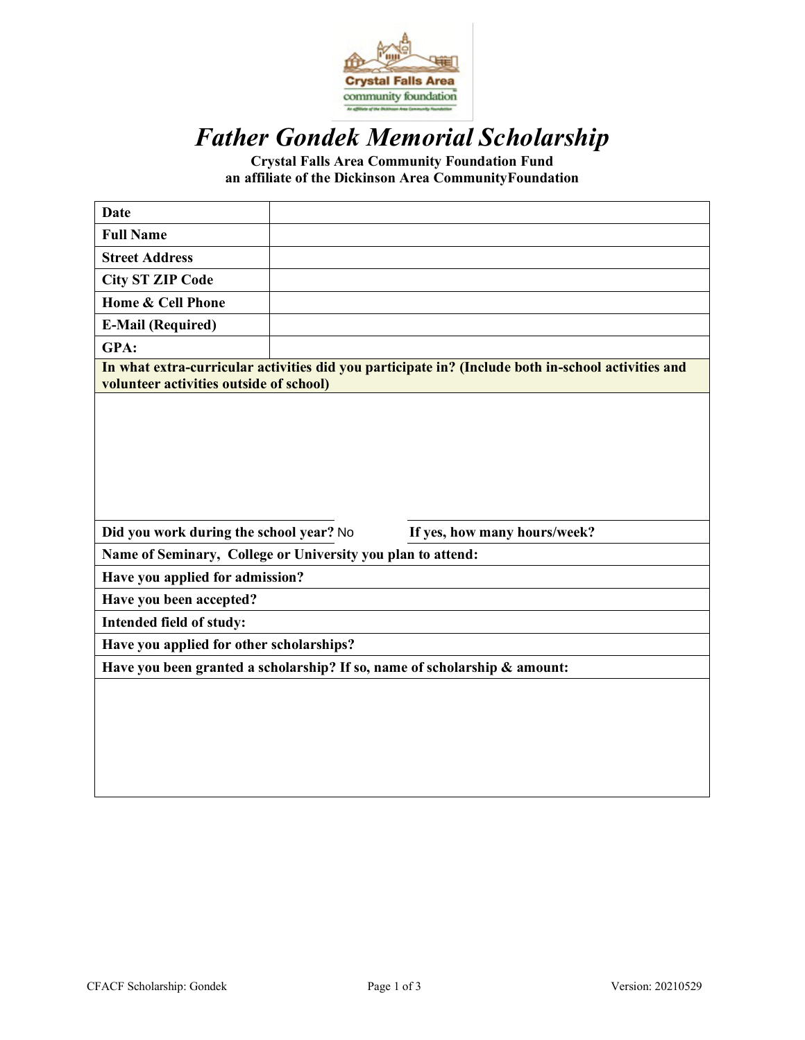

# *Father Gondek Memorial Scholarship*

**Crystal Falls Area Community Foundation Fund an affiliate of the Dickinson Area CommunityFoundation**

| <b>Date</b>                                                 |                                                                                                    |
|-------------------------------------------------------------|----------------------------------------------------------------------------------------------------|
| <b>Full Name</b>                                            |                                                                                                    |
| <b>Street Address</b>                                       |                                                                                                    |
| <b>City ST ZIP Code</b>                                     |                                                                                                    |
| Home & Cell Phone                                           |                                                                                                    |
| <b>E-Mail (Required)</b>                                    |                                                                                                    |
| GPA:                                                        |                                                                                                    |
| volunteer activities outside of school)                     | In what extra-curricular activities did you participate in? (Include both in-school activities and |
|                                                             |                                                                                                    |
|                                                             |                                                                                                    |
|                                                             |                                                                                                    |
|                                                             |                                                                                                    |
|                                                             |                                                                                                    |
|                                                             |                                                                                                    |
| Did you work during the school year? No                     | If yes, how many hours/week?                                                                       |
| Name of Seminary, College or University you plan to attend: |                                                                                                    |
| Have you applied for admission?                             |                                                                                                    |
| Have you been accepted?                                     |                                                                                                    |
| Intended field of study:                                    |                                                                                                    |
| Have you applied for other scholarships?                    |                                                                                                    |
|                                                             | Have you been granted a scholarship? If so, name of scholarship & amount:                          |
|                                                             |                                                                                                    |
|                                                             |                                                                                                    |
|                                                             |                                                                                                    |
|                                                             |                                                                                                    |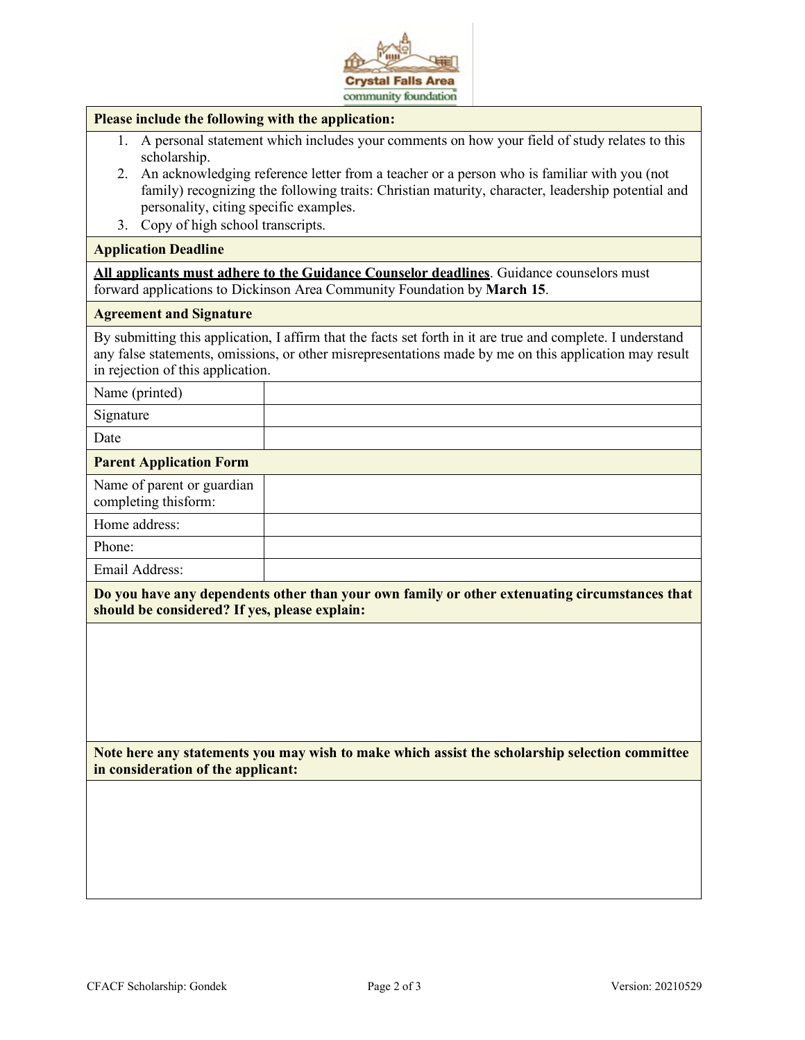

#### **Please include the following with the application:**

- 1. A personal statement which includes your comments on how your field of study relates to this scholarship.
- 2. An acknowledging reference letter from a teacher or a person who is familiar with you (not family) recognizing the following traits: Christian maturity, character, leadership potential and personality, citing specific examples.
- 3. Copy of high school transcripts.

#### **Application Deadline**

**All applicants must adhere to the Guidance Counselor deadlines**. Guidance counselors must forward applications to Dickinson Area Community Foundation by **March 15**.

#### **Agreement and Signature**

By submitting this application, I affirm that the facts set forth in it are true and complete. I understand any false statements, omissions, or other misrepresentations made by me on this application may result in rejection of this application.

| Name (printed)                                     |  |
|----------------------------------------------------|--|
| Signature                                          |  |
| Date                                               |  |
| <b>Parent Application Form</b>                     |  |
| Name of parent or guardian<br>completing thisform: |  |
| Home address:                                      |  |
| Phone:                                             |  |
| Email Address:                                     |  |

**Do you have any dependents other than your own family or other extenuating circumstances that should be considered? If yes, please explain:**

**Note here any statements you may wish to make which assist the scholarship selection committee in consideration of the applicant:**